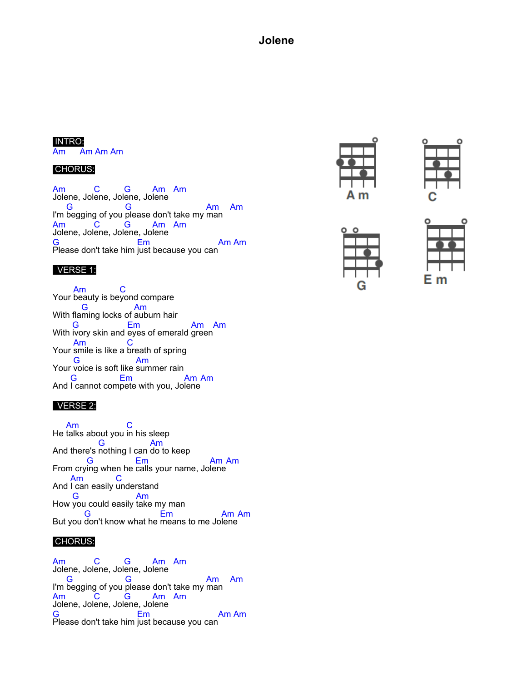## **Jolene**

#### INTRO:

Am Am Am Am

#### CHORUS:

Am Jolene, Jol C ene, Jol G ene, Jo Am lene Am I'm G begging of you G please don't take my man Am Am Am Jolene, Jol C ene, Jol G ene, Jo Am lene Am G Please don't take him Em just because you can Am Am

### VERSE 1:

Your Am beauty is be C yond compare With fla G ming locks of Am auburn hair With G ivory skin and Em eyes of emerald Am green Am Your smile is like a breath of spring Am **C** Your voice is soft like summer rain G Am And G I cannot com Em pete with you, Jo Am lene Am

### VERSE 2:

He Am talks about you C in his sleep And there's G nothing I can Am do to keep From cry G ing when he Em calls your name, Jo Am lene Am And Am I can easily C understand How you could easily take my man G Am But you don't know what he means to me Jo lene G Em Am Am

#### CHORUS:

Am Jolene, Jol C ene, Jol G ene, Jo Am lene Am I'm G begging of you G please don't take my Am man Am Am Jolene, Jol C ene, Jol G ene, Jo Am lene Am G Please don't take him Em just because you can Am Am